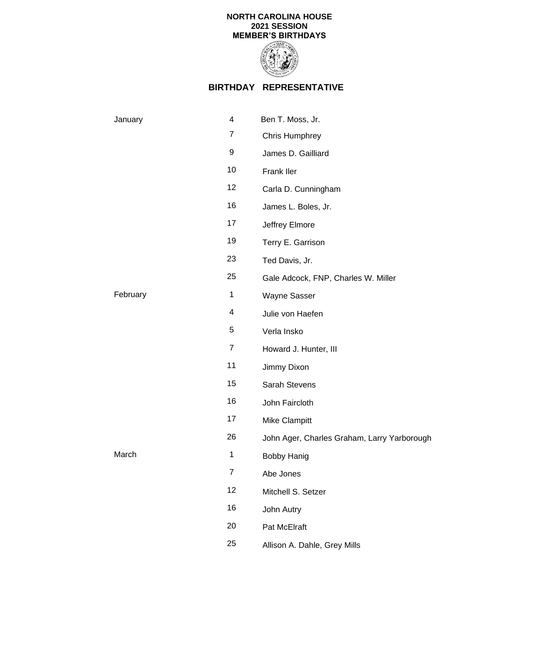

## **BIRTHDAY REPRESENTATIVE**

| January  | 4              | Ben T. Moss, Jr.                            |
|----------|----------------|---------------------------------------------|
|          | $\overline{7}$ | Chris Humphrey                              |
|          | 9              | James D. Gailliard                          |
|          | 10             | Frank Iler                                  |
|          | 12             | Carla D. Cunningham                         |
|          | 16             | James L. Boles, Jr.                         |
|          | 17             | Jeffrey Elmore                              |
|          | 19             | Terry E. Garrison                           |
|          | 23             | Ted Davis, Jr.                              |
|          | 25             | Gale Adcock, FNP, Charles W. Miller         |
| February | $\mathbf 1$    | Wayne Sasser                                |
|          | 4              | Julie von Haefen                            |
|          | 5              | Verla Insko                                 |
|          | $\overline{7}$ | Howard J. Hunter, III                       |
|          | 11             | Jimmy Dixon                                 |
|          | 15             | Sarah Stevens                               |
|          | 16             | John Faircloth                              |
|          | 17             | Mike Clampitt                               |
|          | 26             | John Ager, Charles Graham, Larry Yarborough |
| March    | $\mathbf 1$    | <b>Bobby Hanig</b>                          |
|          | $\overline{7}$ | Abe Jones                                   |
|          | 12             | Mitchell S. Setzer                          |
|          | 16             | John Autry                                  |
|          | 20             | Pat McElraft                                |
|          | 25             | Allison A. Dahle, Grey Mills                |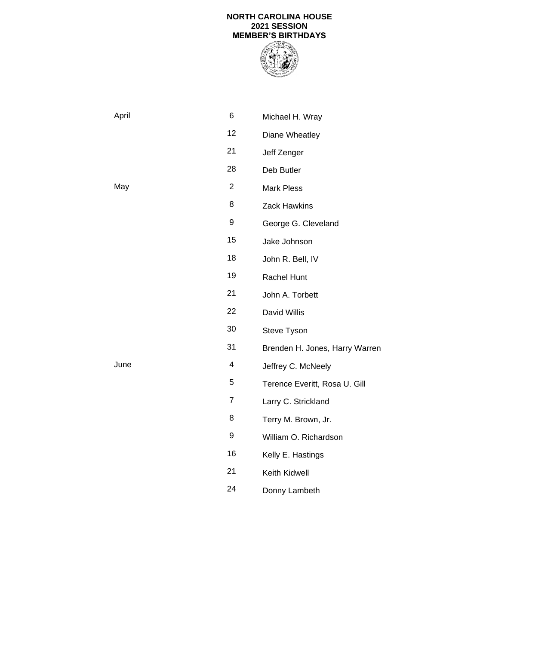

Donny Lambeth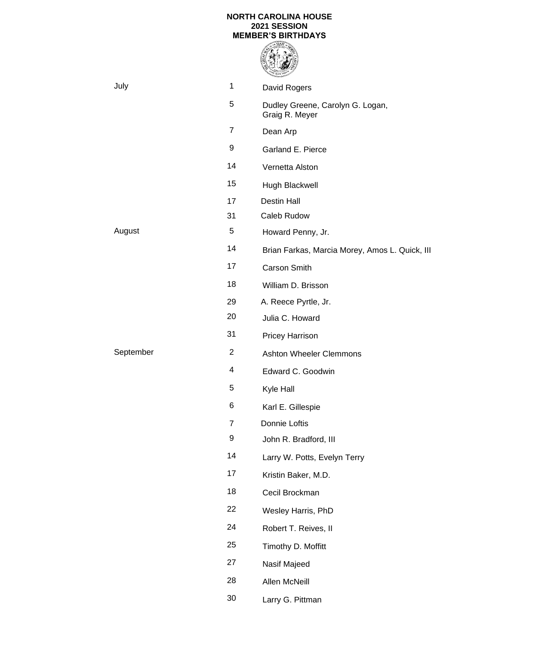

| July      | 1              | David Rogers                                       |
|-----------|----------------|----------------------------------------------------|
|           | 5              | Dudley Greene, Carolyn G. Logan,<br>Graig R. Meyer |
|           | $\overline{7}$ | Dean Arp                                           |
|           | 9              | Garland E. Pierce                                  |
|           | 14             | Vernetta Alston                                    |
|           | 15             | Hugh Blackwell                                     |
|           | 17             | <b>Destin Hall</b>                                 |
|           | 31             | Caleb Rudow                                        |
| August    | 5              | Howard Penny, Jr.                                  |
|           | 14             | Brian Farkas, Marcia Morey, Amos L. Quick, III     |
|           | 17             | <b>Carson Smith</b>                                |
|           | 18             | William D. Brisson                                 |
|           | 29             | A. Reece Pyrtle, Jr.                               |
|           | 20             | Julia C. Howard                                    |
|           | 31             | <b>Pricey Harrison</b>                             |
| September | $\overline{2}$ | <b>Ashton Wheeler Clemmons</b>                     |
|           | 4              | Edward C. Goodwin                                  |
|           | 5              | Kyle Hall                                          |
|           | 6              | Karl E. Gillespie                                  |
|           | 7              | Donnie Loftis                                      |
|           | 9              | John R. Bradford, III                              |
|           | 14             | Larry W. Potts, Evelyn Terry                       |
|           | 17             | Kristin Baker, M.D.                                |
|           | 18             | Cecil Brockman                                     |
|           | 22             | Wesley Harris, PhD                                 |
|           | 24             | Robert T. Reives, II                               |
|           | 25             | Timothy D. Moffitt                                 |
|           | 27             | Nasif Majeed                                       |
|           | 28             | Allen McNeill                                      |
|           | 30             | Larry G. Pittman                                   |
|           |                |                                                    |